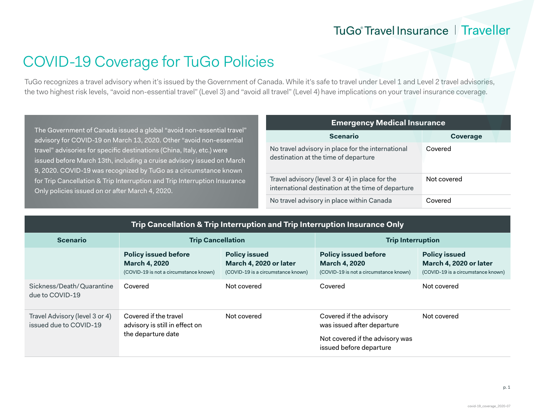## TuGo® Travel Insurance | Traveller

# COVID-19 Coverage for TuGo Policies

TuGo recognizes a travel advisory when it's issued by the Government of Canada. While it's safe to travel under Level 1 and Level 2 travel advisories, the two highest risk levels, "avoid non-essential travel" (Level 3) and "avoid all travel" (Level 4) have implications on your travel insurance coverage.

The Government of Canada issued a global "avoid non-essential travel" advisory for COVID-19 on March 13, 2020. Other "avoid non-essential travel" advisories for specific destinations (China, Italy, etc.) were issued before March 13th, including a cruise advisory issued on March 9, 2020. COVID-19 was recognized by TuGo as a circumstance known for Trip Cancellation & Trip Interruption and Trip Interruption Insurance Only policies issued on or after March 4, 2020.

| <b>Emergency Medical Insurance</b>                                                                    |             |  |  |
|-------------------------------------------------------------------------------------------------------|-------------|--|--|
| <b>Scenario</b>                                                                                       | Coverage    |  |  |
| No travel advisory in place for the international<br>destination at the time of departure             | Covered     |  |  |
| Travel advisory (level 3 or 4) in place for the<br>international destination at the time of departure | Not covered |  |  |
| No travel advisory in place within Canada                                                             | Covered     |  |  |

| Trip Cancellation & Trip Interruption and Trip Interruption Insurance Only |  |  |
|----------------------------------------------------------------------------|--|--|
|                                                                            |  |  |

| <b>Scenario</b>                                          | <b>Trip Cancellation</b>                                                                      |                                                                                      | <b>Trip Interruption</b>                                                                      |                                                                                      |
|----------------------------------------------------------|-----------------------------------------------------------------------------------------------|--------------------------------------------------------------------------------------|-----------------------------------------------------------------------------------------------|--------------------------------------------------------------------------------------|
|                                                          | <b>Policy issued before</b><br><b>March 4, 2020</b><br>(COVID-19 is not a circumstance known) | <b>Policy issued</b><br>March 4, 2020 or later<br>(COVID-19 is a circumstance known) | <b>Policy issued before</b><br><b>March 4, 2020</b><br>(COVID-19 is not a circumstance known) | <b>Policy issued</b><br>March 4, 2020 or later<br>(COVID-19 is a circumstance known) |
| Sickness/Death/Quarantine<br>due to COVID-19             | Covered                                                                                       | Not covered                                                                          | Covered                                                                                       | Not covered                                                                          |
| Travel Advisory (level 3 or 4)<br>issued due to COVID-19 | Covered if the travel<br>Not covered<br>advisory is still in effect on<br>the departure date  | Covered if the advisory<br>was issued after departure                                | Not covered                                                                                   |                                                                                      |
|                                                          |                                                                                               |                                                                                      | Not covered if the advisory was<br>issued before departure                                    |                                                                                      |